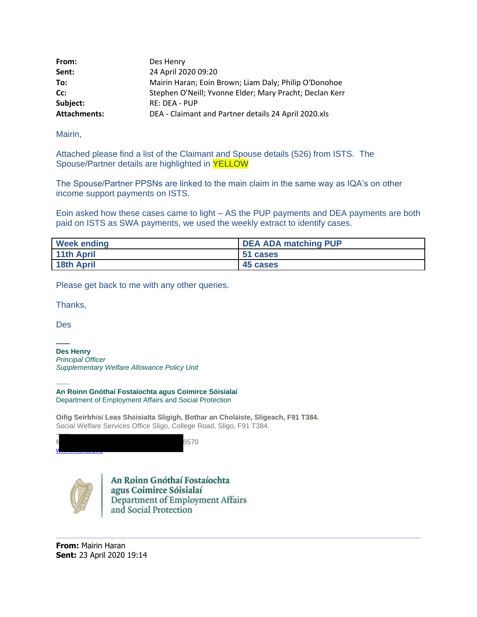| From:               | Des Henry                                               |
|---------------------|---------------------------------------------------------|
| Sent:               | 24 April 2020 09:20                                     |
| To:                 | Mairin Haran; Eoin Brown; Liam Daly; Philip O'Donohoe   |
| Cc:                 | Stephen O'Neill; Yvonne Elder; Mary Pracht; Declan Kerr |
| Subject:            | <b>RE: DEA - PUP</b>                                    |
| <b>Attachments:</b> | DEA - Claimant and Partner details 24 April 2020.xls    |

Mairin,

Attached please find a list of the Claimant and Spouse details (526) from ISTS. The Spouse/Partner details are highlighted in YELLOW

The Spouse/Partner PPSNs are linked to the main claim in the same way as IQA's on other income support payments on ISTS.

Eoin asked how these cases came to light – AS the PUP payments and DEA payments are both paid on ISTS as SWA payments, we used the weekly extract to identify cases.

| <b>Week ending</b> | <b>DEA ADA matching PUP</b> |
|--------------------|-----------------------------|
| <b>11th April</b>  | 51 cases                    |
| <b>18th April</b>  | 45 cases                    |

Please get back to me with any other queries.

Thanks,

Des

**——**

**Des Henry** *Principal Officer Supplementary Welfare Allowance Policy Unit*

—— **An Roinn Gnóthaí Fostaíochta agus Coimirce Sóisialaí** Department of Employment Affairs and Social Protection

**Oifig Seirbhísí Leas Shóisialta Sligigh, Bothar an Choláiste, Sligeach, F91 T384.** Social Welfare Services Office Sligo, College Road, Sligo, F91 T384.

| <b>The Printing Hours of Po</b> |  |
|---------------------------------|--|



An Roinn Gnóthaí Fostaíochta agus Coimirce Sóisialaí<br>Department of Employment Affairs and Social Protection

**From:** Mairin Haran **Sent:** 23 April 2020 19:14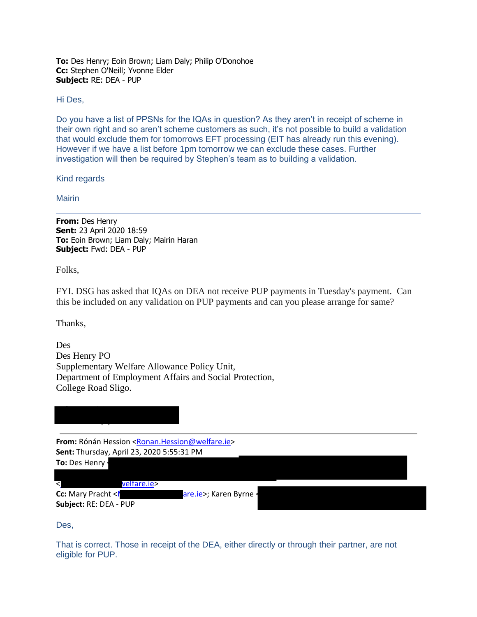**To:** Des Henry; Eoin Brown; Liam Daly; Philip O'Donohoe **Cc:** Stephen O'Neill; Yvonne Elder **Subject:** RE: DEA - PUP

## Hi Des,

Do you have a list of PPSNs for the IQAs in question? As they aren't in receipt of scheme in their own right and so aren't scheme customers as such, it's not possible to build a validation that would exclude them for tomorrows EFT processing (EIT has already run this evening). However if we have a list before 1pm tomorrow we can exclude these cases. Further investigation will then be required by Stephen's team as to building a validation.

Kind regards

Mairin

**From:** Des Henry **Sent:** 23 April 2020 18:59 **To:** Eoin Brown; Liam Daly; Mairin Haran **Subject:** Fwd: DEA - PUP

Folks,

FYI. DSG has asked that IQAs on DEA not receive PUP payments in Tuesday's payment. Can this be included on any validation on PUP payments and can you please arrange for same?

Thanks,

Des Des Henry PO Supplementary Welfare Allowance Policy Unit, Department of Employment Affairs and Social Protection, College Road Sligo.

Tel. +353 (0) 71 91 48570  $\sim$ 

From: Rónán Hession [<Ronan.Hession@welfare.ie>](mailto:Ronan.Hession@welfare.ie) **Sent:** Thursday, April 23, 2020 5:55:31 PM **To:** Des Henry

## < veltare.ie>

**Subject:** RE: DEA - PUP

**Cc:** Mary Pracht <Mary entries are.ie>; Karen Byrne <walfare.ie>

[<Jacqui.McCrum@welfare.ie>](mailto:Jacqui.McCrum@welfare.ie); Teresa Leonard [<teresa.leonard@welfare.ie>](mailto:teresa.leonard@welfare.ie); Kathleen Stack

Des,

That is correct. Those in receipt of the DEA, either directly or through their partner, are not eligible for PUP.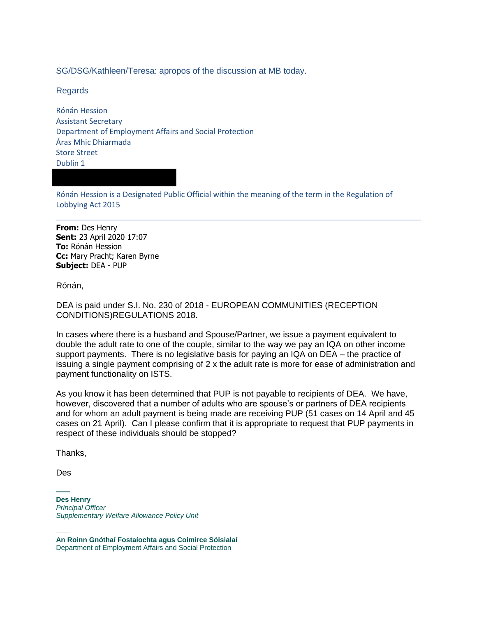SG/DSG/Kathleen/Teresa: apropos of the discussion at MB today.

Regards

Rónán Hession Assistant Secretary Department of Employment Affairs and Social Protection Áras Mhic Dhiarmada Store Street Dublin 1

Rónán Hession is a Designated Public Official within the meaning of the term in the Regulation of Lobbying Act 2015

**From:** Des Henry **Sent:** 23 April 2020 17:07 **To:** Rónán Hession **Cc:** Mary Pracht; Karen Byrne **Subject:** DEA - PUP

Rónán,

DEA is paid under S.I. No. 230 of 2018 - EUROPEAN COMMUNITIES (RECEPTION CONDITIONS)REGULATIONS 2018.

In cases where there is a husband and Spouse/Partner, we issue a payment equivalent to double the adult rate to one of the couple, similar to the way we pay an IQA on other income support payments. There is no legislative basis for paying an IQA on DEA – the practice of issuing a single payment comprising of 2 x the adult rate is more for ease of administration and payment functionality on ISTS.

As you know it has been determined that PUP is not payable to recipients of DEA. We have, however, discovered that a number of adults who are spouse's or partners of DEA recipients and for whom an adult payment is being made are receiving PUP (51 cases on 14 April and 45 cases on 21 April). Can I please confirm that it is appropriate to request that PUP payments in respect of these individuals should be stopped?

Thanks,

Des

**—— Des Henry** *Principal Officer Supplementary Welfare Allowance Policy Unit*

—— **An Roinn Gnóthaí Fostaíochta agus Coimirce Sóisialaí** Department of Employment Affairs and Social Protection